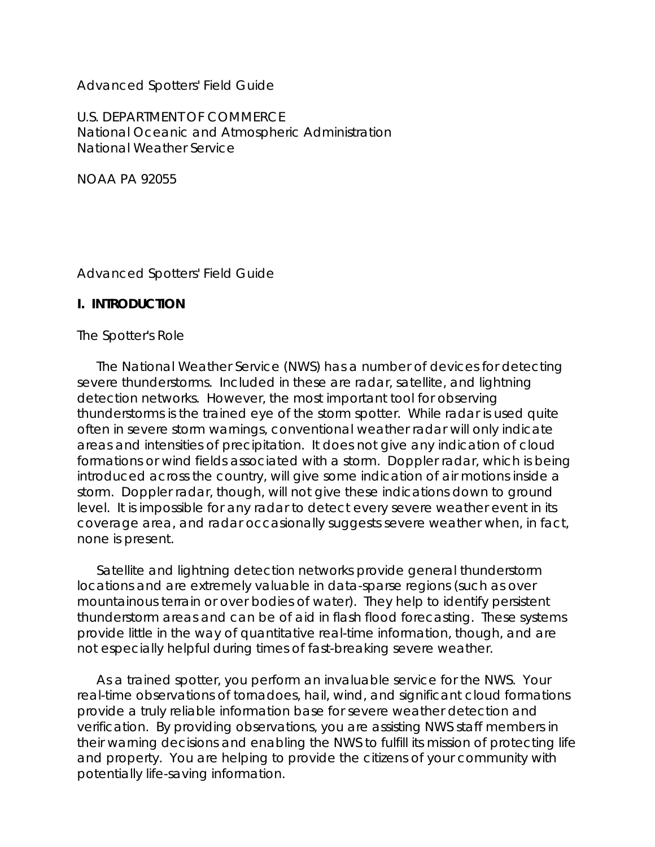Advanced Spotters' Field Guide

U.S. DEPARTMENT OF COMMERCE National Oceanic and Atmospheric Administration National Weather Service

NOAA PA 92055

Advanced Spotters' Field Guide

## **I. INTRODUCTION**

The Spotter's Role

The National Weather Service (NWS) has a number of devices for detecting severe thunderstorms. Included in these are radar, satellite, and lightning detection networks. However, the most important tool for observing thunderstorms is the trained eye of the storm spotter. While radar is used quite often in severe storm warnings, conventional weather radar will only indicate areas and intensities of precipitation. It does not give any indication of cloud formations or wind fields associated with a storm. Doppler radar, which is being introduced across the country, will give some indication of air motions inside a storm. Doppler radar, though, will not give these indications down to ground level. It is impossible for any radar to detect every severe weather event in its coverage area, and radar occasionally suggests severe weather when, in fact, none is present.

Satellite and lightning detection networks provide general thunderstorm locations and are extremely valuable in data-sparse regions (such as over mountainous terrain or over bodies of water). They help to identify persistent thunderstorm areas and can be of aid in flash flood forecasting. These systems provide little in the way of quantitative real-time information, though, and are not especially helpful during times of fast-breaking severe weather.

As a trained spotter, you perform an invaluable service for the NWS. Your real-time observations of tornadoes, hail, wind, and significant cloud formations provide a truly reliable information base for severe weather detection and verification. By providing observations, you are assisting NWS staff members in their warning decisions and enabling the NWS to fulfill its mission of protecting life and property. You are helping to provide the citizens of your community with potentially life-saving information.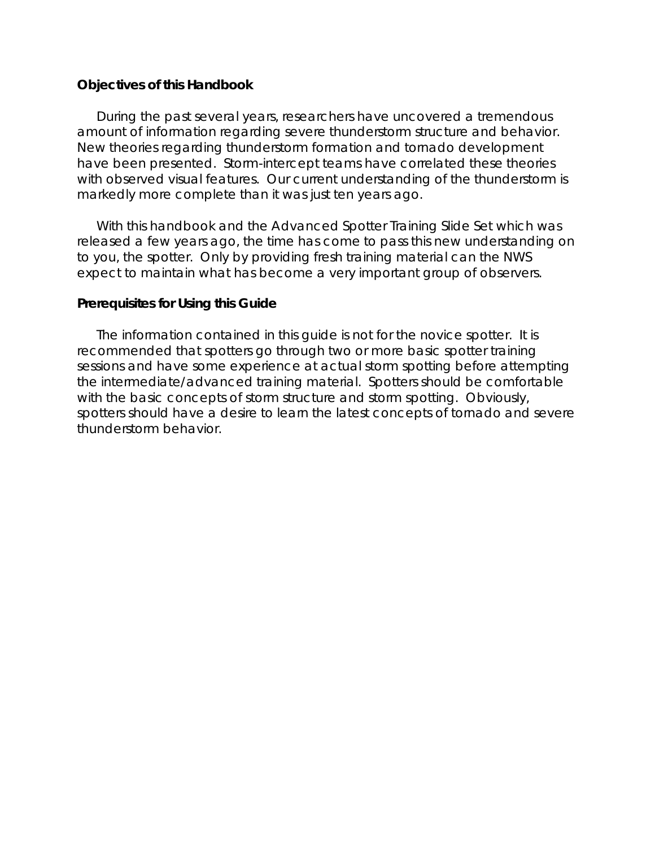## **Objectives of this Handbook**

During the past several years, researchers have uncovered a tremendous amount of information regarding severe thunderstorm structure and behavior. New theories regarding thunderstorm formation and tornado development have been presented. Storm-intercept teams have correlated these theories with observed visual features. Our current understanding of the thunderstorm is markedly more complete than it was just ten years ago.

With this handbook and the Advanced Spotter Training Slide Set which was released a few years ago, the time has come to pass this new understanding on to you, the spotter. Only by providing fresh training material can the NWS expect to maintain what has become a very important group of observers.

### **Prerequisites for Using this Guide**

The information contained in this guide is not for the novice spotter. It is recommended that spotters go through two or more basic spotter training sessions and have some experience at actual storm spotting before attempting the intermediate/advanced training material. Spotters should be comfortable with the basic concepts of storm structure and storm spotting. Obviously, spotters should have a desire to learn the latest concepts of tornado and severe thunderstorm behavior.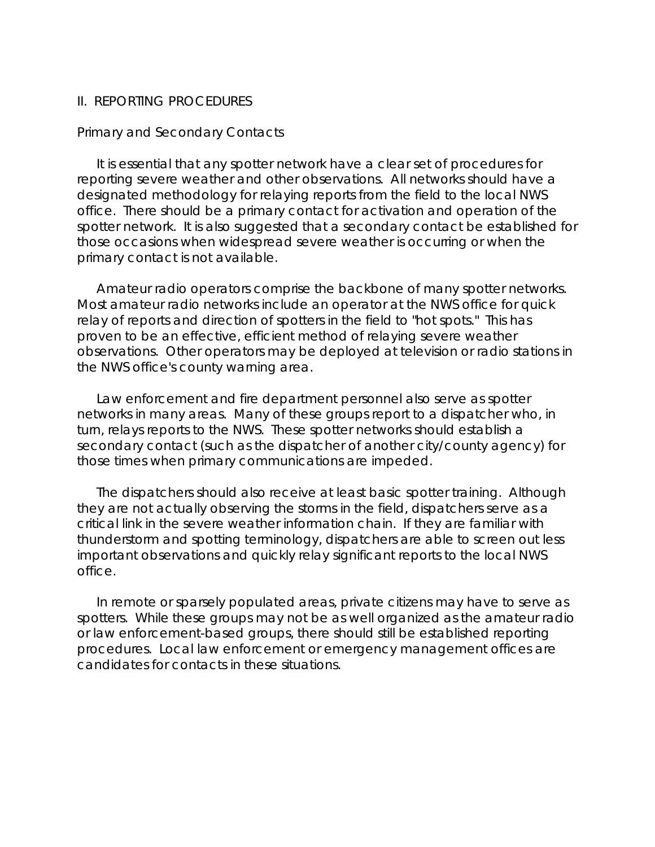#### II. REPORTING PROCEDURES

#### Primary and Secondary Contacts

It is essential that any spotter network have a clear set of procedures for reporting severe weather and other observations. All networks should have a designated methodology for relaying reports from the field to the local NWS office. There should be a primary contact for activation and operation of the spotter network. It is also suggested that a secondary contact be established for those occasions when widespread severe weather is occurring or when the primary contact is not available.

Amateur radio operators comprise the backbone of many spotter networks. Most amateur radio networks include an operator at the NWS office for quick relay of reports and direction of spotters in the field to "hot spots." This has proven to be an effective, efficient method of relaying severe weather observations. Other operators may be deployed at television or radio stations in the NWS office's county warning area.

Law enforcement and fire department personnel also serve as spotter networks in many areas. Many of these groups report to a dispatcher who, in turn, relays reports to the NWS. These spotter networks should establish a secondary contact (such as the dispatcher of another city/county agency) for those times when primary communications are impeded.

The dispatchers should also receive at least basic spotter training. Although they are not actually observing the storms in the field, dispatchers serve as a critical link in the severe weather information chain. If they are familiar with thunderstorm and spotting terminology, dispatchers are able to screen out less important observations and quickly relay significant reports to the local NWS office.

In remote or sparsely populated areas, private citizens may have to serve as spotters. While these groups may not be as well organized as the amateur radio or law enforcement-based groups, there should still be established reporting procedures. Local law enforcement or emergency management offices are candidates for contacts in these situations.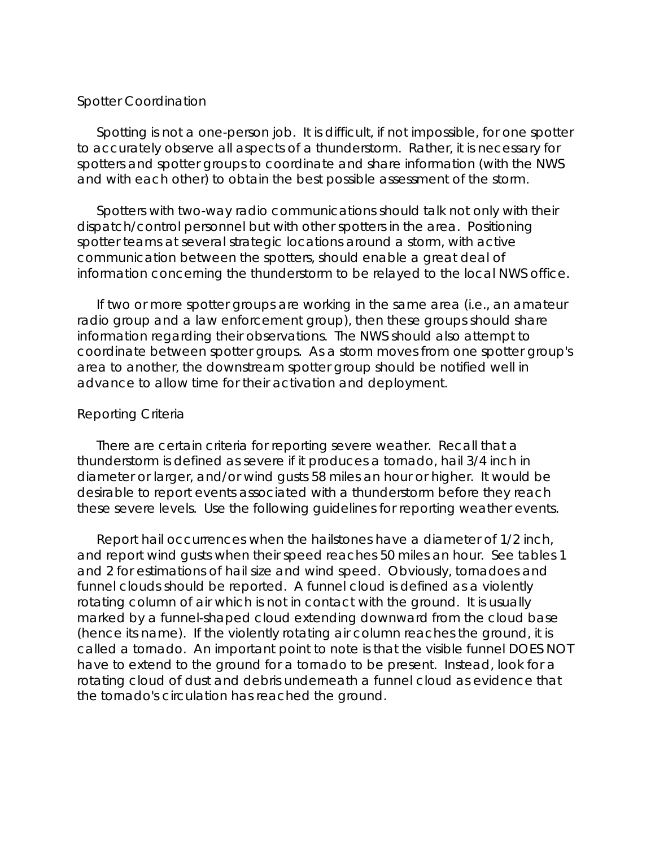### Spotter Coordination

Spotting is not a one-person job. It is difficult, if not impossible, for one spotter to accurately observe all aspects of a thunderstorm. Rather, it is necessary for spotters and spotter groups to coordinate and share information (with the NWS and with each other) to obtain the best possible assessment of the storm.

Spotters with two-way radio communications should talk not only with their dispatch/control personnel but with other spotters in the area. Positioning spotter teams at several strategic locations around a storm, with active communication between the spotters, should enable a great deal of information concerning the thunderstorm to be relayed to the local NWS office.

If two or more spotter groups are working in the same area (i.e., an amateur radio group and a law enforcement group), then these groups should share information regarding their observations. The NWS should also attempt to coordinate between spotter groups. As a storm moves from one spotter group's area to another, the downstream spotter group should be notified well in advance to allow time for their activation and deployment.

## Reporting Criteria

There are certain criteria for reporting severe weather. Recall that a thunderstorm is defined as severe if it produces a tornado, hail 3/4 inch in diameter or larger, and/or wind gusts 58 miles an hour or higher. It would be desirable to report events associated with a thunderstorm before they reach these severe levels. Use the following guidelines for reporting weather events.

Report hail occurrences when the hailstones have a diameter of 1/2 inch, and report wind gusts when their speed reaches 50 miles an hour. See tables 1 and 2 for estimations of hail size and wind speed. Obviously, tornadoes and funnel clouds should be reported. A funnel cloud is defined as a violently rotating column of air which is not in contact with the ground. It is usually marked by a funnel-shaped cloud extending downward from the cloud base (hence its name). If the violently rotating air column reaches the ground, it is called a tornado. An important point to note is that the visible funnel DOES NOT have to extend to the ground for a tornado to be present. Instead, look for a rotating cloud of dust and debris underneath a funnel cloud as evidence that the tornado's circulation has reached the ground.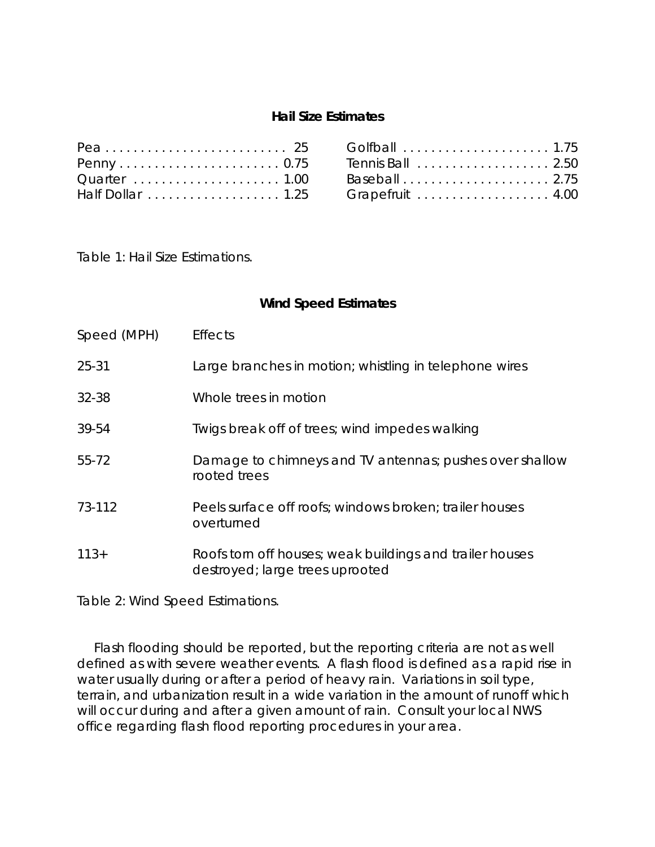# **Hail Size Estimates**

| Penny         0.75 Tennis Ball        2.50 |  |  |
|--------------------------------------------|--|--|
|                                            |  |  |
|                                            |  |  |

Table 1: Hail Size Estimations.

# **Wind Speed Estimates**

| Speed (MPH) | <b>Effects</b>                                                                              |
|-------------|---------------------------------------------------------------------------------------------|
| $25 - 31$   | Large branches in motion; whistling in telephone wires                                      |
| 32-38       | Whole trees in motion                                                                       |
| 39-54       | Twigs break off of trees; wind impedes walking                                              |
| 55-72       | Damage to chimneys and TV antennas; pushes over shallow<br>rooted trees                     |
| 73-112      | Peels surface off roofs; windows broken; trailer houses<br>overturned                       |
| $113+$      | Roofs torn off houses; weak buildings and trailer houses<br>destroyed; large trees uprooted |

Table 2: Wind Speed Estimations.

Flash flooding should be reported, but the reporting criteria are not as well defined as with severe weather events. A flash flood is defined as a rapid rise in water usually during or after a period of heavy rain. Variations in soil type, terrain, and urbanization result in a wide variation in the amount of runoff which will occur during and after a given amount of rain. Consult your local NWS office regarding flash flood reporting procedures in your area.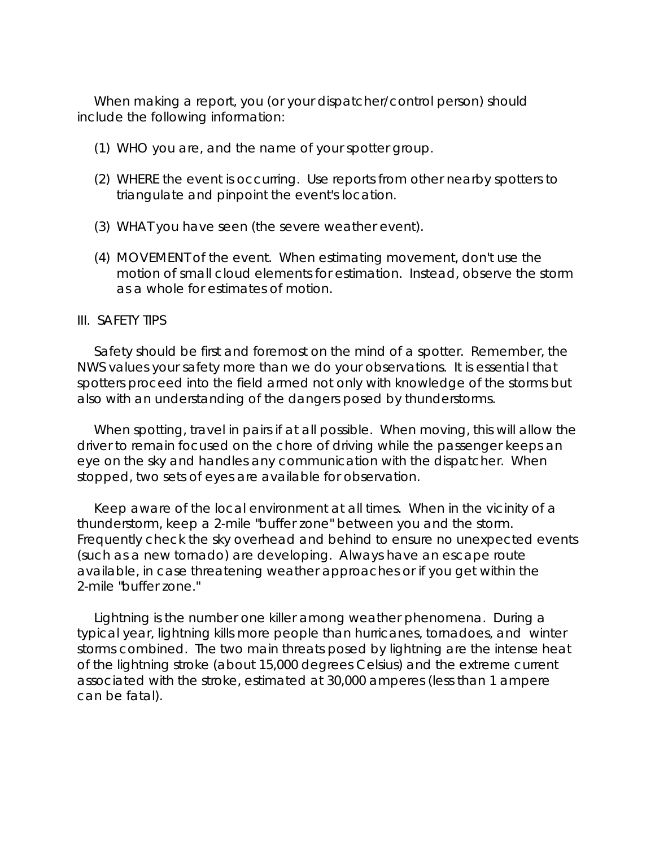When making a report, you (or your dispatcher/control person) should include the following information:

- (1) WHO you are, and the name of your spotter group.
- (2) WHERE the event is occurring. Use reports from other nearby spotters to triangulate and pinpoint the event's location.
- (3) WHAT you have seen (the severe weather event).
- (4) MOVEMENT of the event. When estimating movement, don't use the motion of small cloud elements for estimation. Instead, observe the storm as a whole for estimates of motion.

### III. SAFETY TIPS

Safety should be first and foremost on the mind of a spotter. Remember, the NWS values your safety more than we do your observations. It is essential that spotters proceed into the field armed not only with knowledge of the storms but also with an understanding of the dangers posed by thunderstorms.

When spotting, travel in pairs if at all possible. When moving, this will allow the driver to remain focused on the chore of driving while the passenger keeps an eye on the sky and handles any communication with the dispatcher. When stopped, two sets of eyes are available for observation.

Keep aware of the local environment at all times. When in the vicinity of a thunderstorm, keep a 2-mile "buffer zone" between you and the storm. Frequently check the sky overhead and behind to ensure no unexpected events (such as a new tornado) are developing. Always have an escape route available, in case threatening weather approaches or if you get within the 2-mile "buffer zone."

Lightning is the number one killer among weather phenomena. During a typical year, lightning kills more people than hurricanes, tornadoes, and winter storms combined. The two main threats posed by lightning are the intense heat of the lightning stroke (about 15,000 degrees Celsius) and the extreme current associated with the stroke, estimated at 30,000 amperes (less than 1 ampere can be fatal).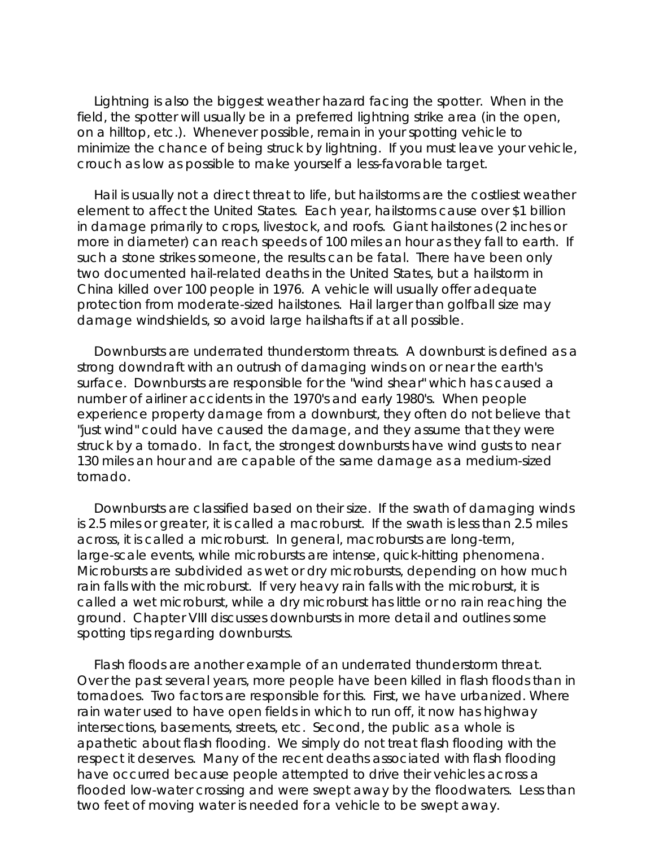Lightning is also the biggest weather hazard facing the spotter. When in the field, the spotter will usually be in a preferred lightning strike area (in the open, on a hilltop, etc.). Whenever possible, remain in your spotting vehicle to minimize the chance of being struck by lightning. If you must leave your vehicle, crouch as low as possible to make yourself a less-favorable target.

Hail is usually not a direct threat to life, but hailstorms are the costliest weather element to affect the United States. Each year, hailstorms cause over \$1 billion in damage primarily to crops, livestock, and roofs. Giant hailstones (2 inches or more in diameter) can reach speeds of 100 miles an hour as they fall to earth. If such a stone strikes someone, the results can be fatal. There have been only two documented hail-related deaths in the United States, but a hailstorm in China killed over 100 people in 1976. A vehicle will usually offer adequate protection from moderate-sized hailstones. Hail larger than golfball size may damage windshields, so avoid large hailshafts if at all possible.

Downbursts are underrated thunderstorm threats. A downburst is defined as a strong downdraft with an outrush of damaging winds on or near the earth's surface. Downbursts are responsible for the "wind shear" which has caused a number of airliner accidents in the 1970's and early 1980's. When people experience property damage from a downburst, they often do not believe that "just wind" could have caused the damage, and they assume that they were struck by a tornado. In fact, the strongest downbursts have wind gusts to near 130 miles an hour and are capable of the same damage as a medium-sized tornado.

Downbursts are classified based on their size. If the swath of damaging winds is 2.5 miles or greater, it is called a macroburst. If the swath is less than 2.5 miles across, it is called a microburst. In general, macrobursts are long-term, large-scale events, while microbursts are intense, quick-hitting phenomena. Microbursts are subdivided as wet or dry microbursts, depending on how much rain falls with the microburst. If very heavy rain falls with the microburst, it is called a wet microburst, while a dry microburst has little or no rain reaching the ground. Chapter VIII discusses downbursts in more detail and outlines some spotting tips regarding downbursts.

Flash floods are another example of an underrated thunderstorm threat. Over the past several years, more people have been killed in flash floods than in tornadoes. Two factors are responsible for this. First, we have urbanized. Where rain water used to have open fields in which to run off, it now has highway intersections, basements, streets, etc. Second, the public as a whole is apathetic about flash flooding. We simply do not treat flash flooding with the respect it deserves. Many of the recent deaths associated with flash flooding have occurred because people attempted to drive their vehicles across a flooded low-water crossing and were swept away by the floodwaters. Less than two feet of moving water is needed for a vehicle to be swept away.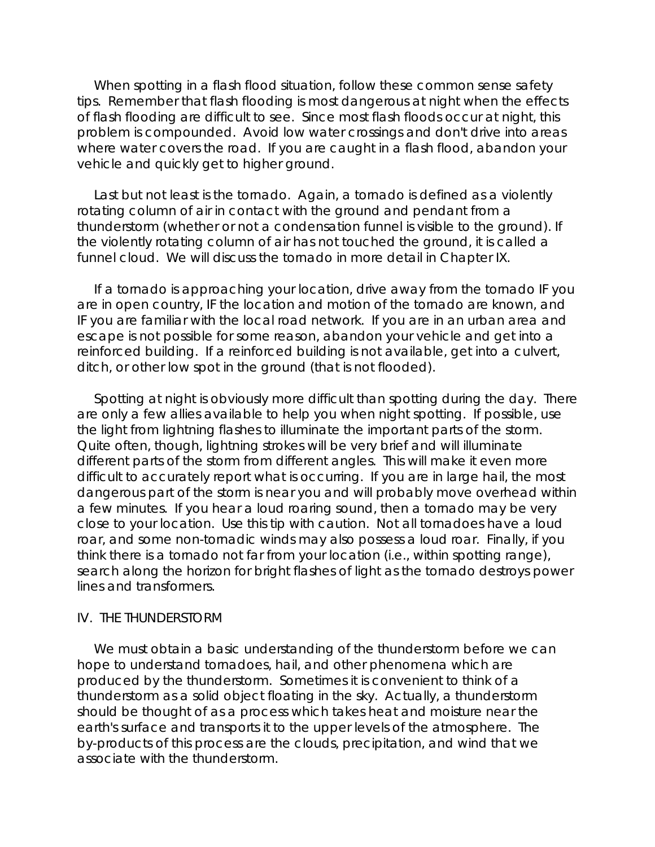When spotting in a flash flood situation, follow these common sense safety tips. Remember that flash flooding is most dangerous at night when the effects of flash flooding are difficult to see. Since most flash floods occur at night, this problem is compounded. Avoid low water crossings and don't drive into areas where water covers the road. If you are caught in a flash flood, abandon your vehicle and quickly get to higher ground.

Last but not least is the tornado. Again, a tornado is defined as a violently rotating column of air in contact with the ground and pendant from a thunderstorm (whether or not a condensation funnel is visible to the ground). If the violently rotating column of air has not touched the ground, it is called a funnel cloud. We will discuss the tornado in more detail in Chapter IX.

If a tornado is approaching your location, drive away from the tornado IF you are in open country, IF the location and motion of the tornado are known, and IF you are familiar with the local road network. If you are in an urban area and escape is not possible for some reason, abandon your vehicle and get into a reinforced building. If a reinforced building is not available, get into a culvert, ditch, or other low spot in the ground (that is not flooded).

Spotting at night is obviously more difficult than spotting during the day. There are only a few allies available to help you when night spotting. If possible, use the light from lightning flashes to illuminate the important parts of the storm. Quite often, though, lightning strokes will be very brief and will illuminate different parts of the storm from different angles. This will make it even more difficult to accurately report what is occurring. If you are in large hail, the most dangerous part of the storm is near you and will probably move overhead within a few minutes. If you hear a loud roaring sound, then a tornado may be very close to your location. Use this tip with caution. Not all tornadoes have a loud roar, and some non-tornadic winds may also possess a loud roar. Finally, if you think there is a tornado not far from your location (i.e., within spotting range), search along the horizon for bright flashes of light as the tornado destroys power lines and transformers.

#### IV. THE THUNDERSTORM

We must obtain a basic understanding of the thunderstorm before we can hope to understand tornadoes, hail, and other phenomena which are produced by the thunderstorm. Sometimes it is convenient to think of a thunderstorm as a solid object floating in the sky. Actually, a thunderstorm should be thought of as a process which takes heat and moisture near the earth's surface and transports it to the upper levels of the atmosphere. The by-products of this process are the clouds, precipitation, and wind that we associate with the thunderstorm.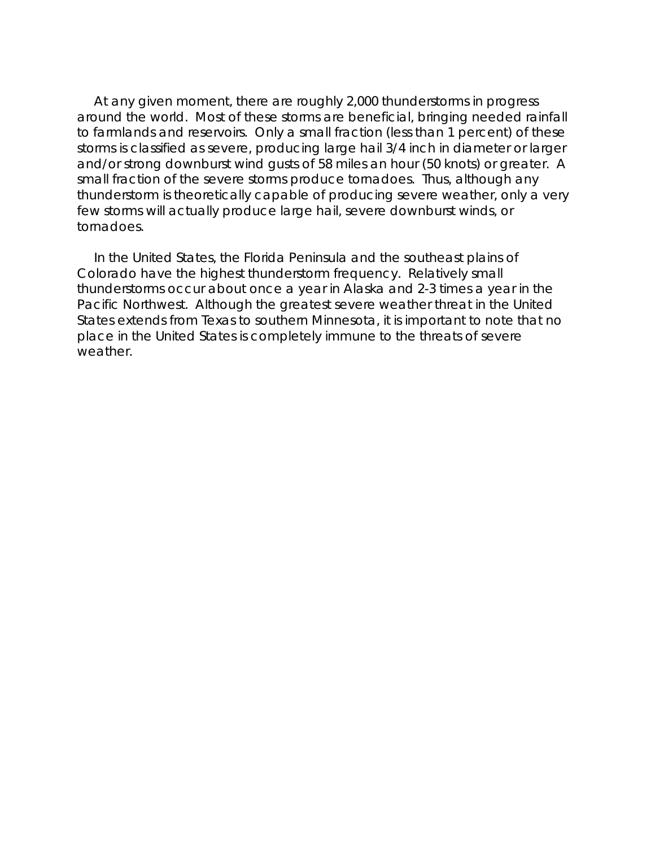At any given moment, there are roughly 2,000 thunderstorms in progress around the world. Most of these storms are beneficial, bringing needed rainfall to farmlands and reservoirs. Only a small fraction (less than 1 percent) of these storms is classified as severe, producing large hail 3/4 inch in diameter or larger and/or strong downburst wind gusts of 58 miles an hour (50 knots) or greater. A small fraction of the severe storms produce tornadoes. Thus, although any thunderstorm is theoretically capable of producing severe weather, only a very few storms will actually produce large hail, severe downburst winds, or tornadoes.

In the United States, the Florida Peninsula and the southeast plains of Colorado have the highest thunderstorm frequency. Relatively small thunderstorms occur about once a year in Alaska and 2-3 times a year in the Pacific Northwest. Although the greatest severe weather threat in the United States extends from Texas to southern Minnesota, it is important to note that no place in the United States is completely immune to the threats of severe weather.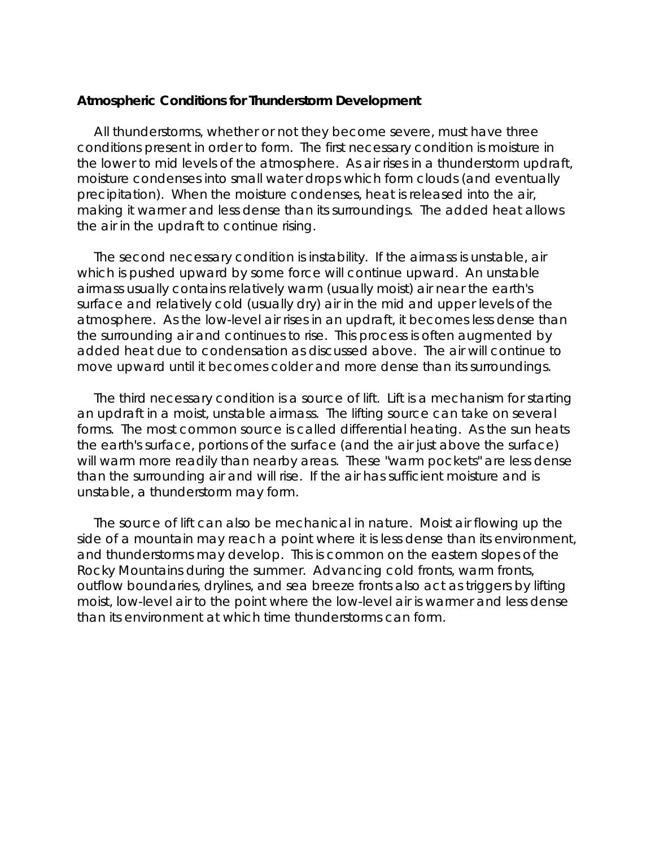#### **Atmospheric Conditions for Thunderstorm Development**

All thunderstorms, whether or not they become severe, must have three conditions present in order to form. The first necessary condition is moisture in the lower to mid levels of the atmosphere. As air rises in a thunderstorm updraft, moisture condenses into small water drops which form clouds (and eventually precipitation). When the moisture condenses, heat is released into the air, making it warmer and less dense than its surroundings. The added heat allows the air in the updraft to continue rising.

The second necessary condition is instability. If the airmass is unstable, air which is pushed upward by some force will continue upward. An unstable airmass usually contains relatively warm (usually moist) air near the earth's surface and relatively cold (usually dry) air in the mid and upper levels of the atmosphere. As the low-level air rises in an updraft, it becomes less dense than the surrounding air and continues to rise. This process is often augmented by added heat due to condensation as discussed above. The air will continue to move upward until it becomes colder and more dense than its surroundings.

The third necessary condition is a source of lift. Lift is a mechanism for starting an updraft in a moist, unstable airmass. The lifting source can take on several forms. The most common source is called differential heating. As the sun heats the earth's surface, portions of the surface (and the air just above the surface) will warm more readily than nearby areas. These "warm pockets" are less dense than the surrounding air and will rise. If the air has sufficient moisture and is unstable, a thunderstorm may form.

The source of lift can also be mechanical in nature. Moist air flowing up the side of a mountain may reach a point where it is less dense than its environment, and thunderstorms may develop. This is common on the eastern slopes of the Rocky Mountains during the summer. Advancing cold fronts, warm fronts, outflow boundaries, drylines, and sea breeze fronts also act as triggers by lifting moist, low-level air to the point where the low-level air is warmer and less dense than its environment at which time thunderstorms can form.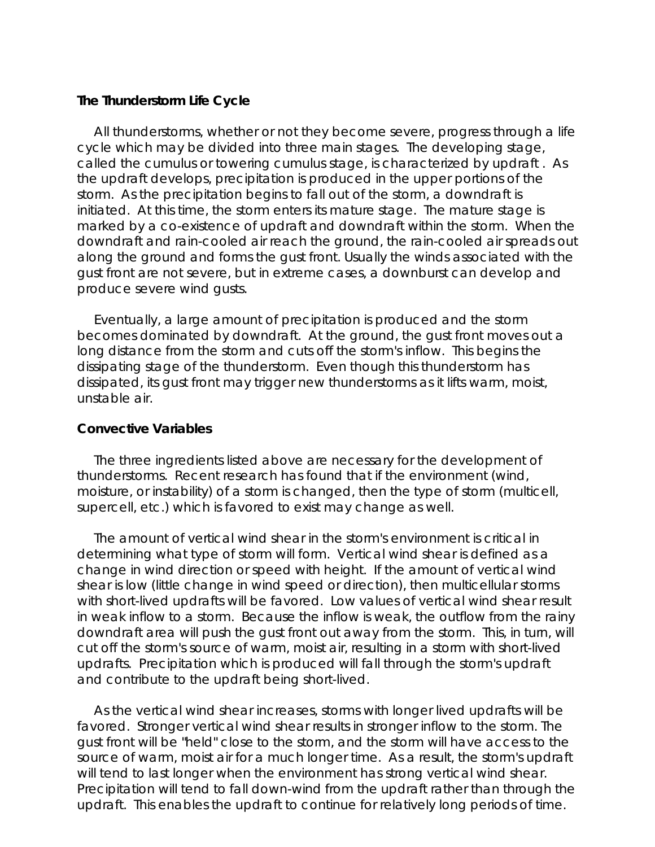#### **The Thunderstorm Life Cycle**

All thunderstorms, whether or not they become severe, progress through a life cycle which may be divided into three main stages. The developing stage, called the cumulus or towering cumulus stage, is characterized by updraft . As the updraft develops, precipitation is produced in the upper portions of the storm. As the precipitation begins to fall out of the storm, a downdraft is initiated. At this time, the storm enters its mature stage. The mature stage is marked by a co-existence of updraft and downdraft within the storm. When the downdraft and rain-cooled air reach the ground, the rain-cooled air spreads out along the ground and forms the gust front. Usually the winds associated with the gust front are not severe, but in extreme cases, a downburst can develop and produce severe wind gusts.

Eventually, a large amount of precipitation is produced and the storm becomes dominated by downdraft. At the ground, the gust front moves out a long distance from the storm and cuts off the storm's inflow. This begins the dissipating stage of the thunderstorm. Even though this thunderstorm has dissipated, its gust front may trigger new thunderstorms as it lifts warm, moist, unstable air.

#### **Convective Variables**

The three ingredients listed above are necessary for the development of thunderstorms. Recent research has found that if the environment (wind, moisture, or instability) of a storm is changed, then the type of storm (multicell, supercell, etc.) which is favored to exist may change as well.

The amount of vertical wind shear in the storm's environment is critical in determining what type of storm will form. Vertical wind shear is defined as a change in wind direction or speed with height. If the amount of vertical wind shear is low (little change in wind speed or direction), then multicellular storms with short-lived updrafts will be favored. Low values of vertical wind shear result in weak inflow to a storm. Because the inflow is weak, the outflow from the rainy downdraft area will push the gust front out away from the storm. This, in turn, will cut off the storm's source of warm, moist air, resulting in a storm with short-lived updrafts. Precipitation which is produced will fall through the storm's updraft and contribute to the updraft being short-lived.

As the vertical wind shear increases, storms with longer lived updrafts will be favored. Stronger vertical wind shear results in stronger inflow to the storm. The gust front will be "held" close to the storm, and the storm will have access to the source of warm, moist air for a much longer time. As a result, the storm's updraft will tend to last longer when the environment has strong vertical wind shear. Precipitation will tend to fall down-wind from the updraft rather than through the updraft. This enables the updraft to continue for relatively long periods of time.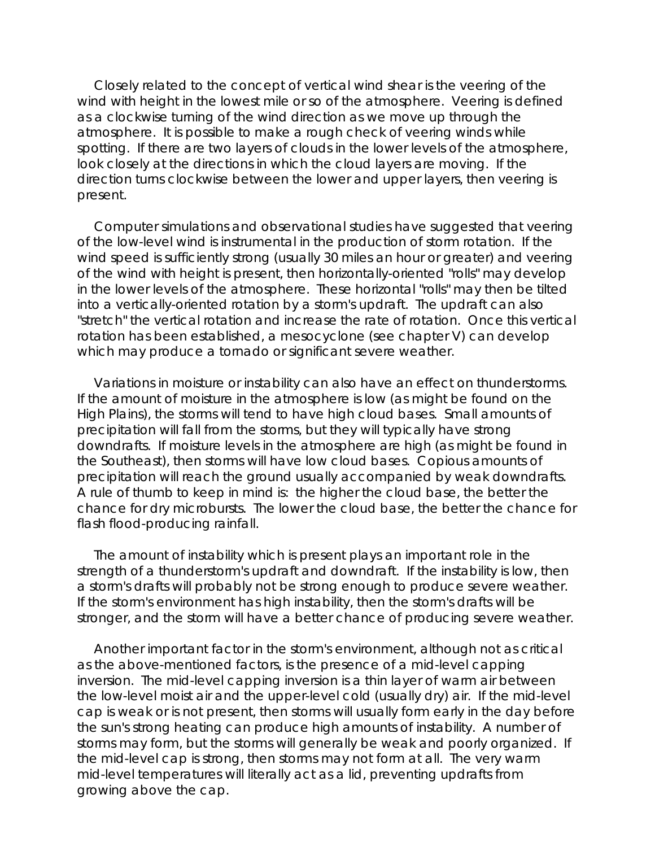Closely related to the concept of vertical wind shear is the veering of the wind with height in the lowest mile or so of the atmosphere. Veering is defined as a clockwise turning of the wind direction as we move up through the atmosphere. It is possible to make a rough check of veering winds while spotting. If there are two layers of clouds in the lower levels of the atmosphere, look closely at the directions in which the cloud layers are moving. If the direction turns clockwise between the lower and upper layers, then veering is present.

Computer simulations and observational studies have suggested that veering of the low-level wind is instrumental in the production of storm rotation. If the wind speed is sufficiently strong (usually 30 miles an hour or greater) and veering of the wind with height is present, then horizontally-oriented "rolls" may develop in the lower levels of the atmosphere. These horizontal "rolls" may then be tilted into a vertically-oriented rotation by a storm's updraft. The updraft can also "stretch" the vertical rotation and increase the rate of rotation. Once this vertical rotation has been established, a mesocyclone (see chapter V) can develop which may produce a tornado or significant severe weather.

Variations in moisture or instability can also have an effect on thunderstorms. If the amount of moisture in the atmosphere is low (as might be found on the High Plains), the storms will tend to have high cloud bases. Small amounts of precipitation will fall from the storms, but they will typically have strong downdrafts. If moisture levels in the atmosphere are high (as might be found in the Southeast), then storms will have low cloud bases. Copious amounts of precipitation will reach the ground usually accompanied by weak downdrafts. A rule of thumb to keep in mind is: the higher the cloud base, the better the chance for dry microbursts. The lower the cloud base, the better the chance for flash flood-producing rainfall.

The amount of instability which is present plays an important role in the strength of a thunderstorm's updraft and downdraft. If the instability is low, then a storm's drafts will probably not be strong enough to produce severe weather. If the storm's environment has high instability, then the storm's drafts will be stronger, and the storm will have a better chance of producing severe weather.

Another important factor in the storm's environment, although not as critical as the above-mentioned factors, is the presence of a mid-level capping inversion. The mid-level capping inversion is a thin layer of warm air between the low-level moist air and the upper-level cold (usually dry) air. If the mid-level cap is weak or is not present, then storms will usually form early in the day before the sun's strong heating can produce high amounts of instability. A number of storms may form, but the storms will generally be weak and poorly organized. If the mid-level cap is strong, then storms may not form at all. The very warm mid-level temperatures will literally act as a lid, preventing updrafts from growing above the cap.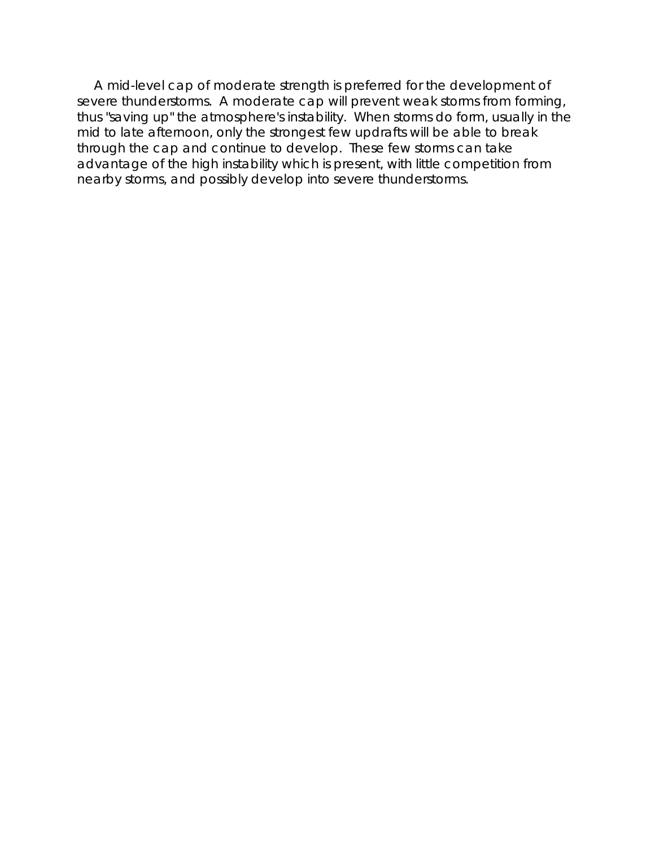A mid-level cap of moderate strength is preferred for the development of severe thunderstorms. A moderate cap will prevent weak storms from forming, thus "saving up" the atmosphere's instability. When storms do form, usually in the mid to late afternoon, only the strongest few updrafts will be able to break through the cap and continue to develop. These few storms can take advantage of the high instability which is present, with little competition from nearby storms, and possibly develop into severe thunderstorms.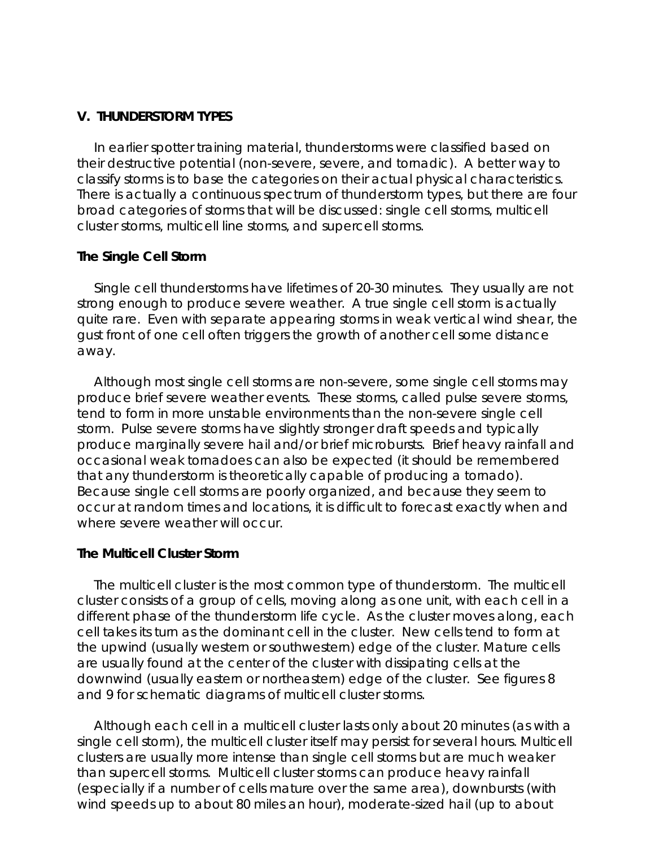## **V. THUNDERSTORM TYPES**

In earlier spotter training material, thunderstorms were classified based on their destructive potential (non-severe, severe, and tornadic). A better way to classify storms is to base the categories on their actual physical characteristics. There is actually a continuous spectrum of thunderstorm types, but there are four broad categories of storms that will be discussed: single cell storms, multicell cluster storms, multicell line storms, and supercell storms.

### **The Single Cell Storm**

Single cell thunderstorms have lifetimes of 20-30 minutes. They usually are not strong enough to produce severe weather. A true single cell storm is actually quite rare. Even with separate appearing storms in weak vertical wind shear, the gust front of one cell often triggers the growth of another cell some distance away.

Although most single cell storms are non-severe, some single cell storms may produce brief severe weather events. These storms, called pulse severe storms, tend to form in more unstable environments than the non-severe single cell storm. Pulse severe storms have slightly stronger draft speeds and typically produce marginally severe hail and/or brief microbursts. Brief heavy rainfall and occasional weak tornadoes can also be expected (it should be remembered that any thunderstorm is theoretically capable of producing a tornado). Because single cell storms are poorly organized, and because they seem to occur at random times and locations, it is difficult to forecast exactly when and where severe weather will occur.

### **The Multicell Cluster Storm**

The multicell cluster is the most common type of thunderstorm. The multicell cluster consists of a group of cells, moving along as one unit, with each cell in a different phase of the thunderstorm life cycle. As the cluster moves along, each cell takes its turn as the dominant cell in the cluster. New cells tend to form at the upwind (usually western or southwestern) edge of the cluster. Mature cells are usually found at the center of the cluster with dissipating cells at the downwind (usually eastern or northeastern) edge of the cluster. See figures 8 and 9 for schematic diagrams of multicell cluster storms.

Although each cell in a multicell cluster lasts only about 20 minutes (as with a single cell storm), the multicell cluster itself may persist for several hours. Multicell clusters are usually more intense than single cell storms but are much weaker than supercell storms. Multicell cluster storms can produce heavy rainfall (especially if a number of cells mature over the same area), downbursts (with wind speeds up to about 80 miles an hour), moderate-sized hail (up to about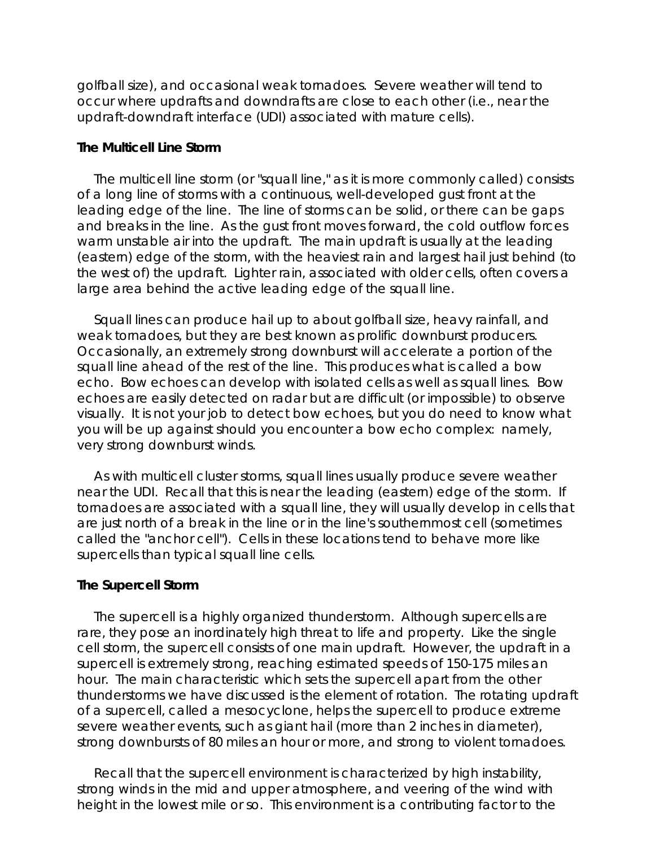golfball size), and occasional weak tornadoes. Severe weather will tend to occur where updrafts and downdrafts are close to each other (i.e., near the updraft-downdraft interface (UDI) associated with mature cells).

### **The Multicell Line Storm**

The multicell line storm (or "squall line," as it is more commonly called) consists of a long line of storms with a continuous, well-developed gust front at the leading edge of the line. The line of storms can be solid, or there can be gaps and breaks in the line. As the gust front moves forward, the cold outflow forces warm unstable air into the updraft. The main updraft is usually at the leading (eastern) edge of the storm, with the heaviest rain and largest hail just behind (to the west of) the updraft. Lighter rain, associated with older cells, often covers a large area behind the active leading edge of the squall line.

Squall lines can produce hail up to about golfball size, heavy rainfall, and weak tornadoes, but they are best known as prolific downburst producers. Occasionally, an extremely strong downburst will accelerate a portion of the squall line ahead of the rest of the line. This produces what is called a bow echo. Bow echoes can develop with isolated cells as well as squall lines. Bow echoes are easily detected on radar but are difficult (or impossible) to observe visually. It is not your job to detect bow echoes, but you do need to know what you will be up against should you encounter a bow echo complex: namely, very strong downburst winds.

As with multicell cluster storms, squall lines usually produce severe weather near the UDI. Recall that this is near the leading (eastern) edge of the storm. If tornadoes are associated with a squall line, they will usually develop in cells that are just north of a break in the line or in the line's southernmost cell (sometimes called the "anchor cell"). Cells in these locations tend to behave more like supercells than typical squall line cells.

#### **The Supercell Storm**

The supercell is a highly organized thunderstorm. Although supercells are rare, they pose an inordinately high threat to life and property. Like the single cell storm, the supercell consists of one main updraft. However, the updraft in a supercell is extremely strong, reaching estimated speeds of 150-175 miles an hour. The main characteristic which sets the supercell apart from the other thunderstorms we have discussed is the element of rotation. The rotating updraft of a supercell, called a mesocyclone, helps the supercell to produce extreme severe weather events, such as giant hail (more than 2 inches in diameter), strong downbursts of 80 miles an hour or more, and strong to violent tornadoes.

Recall that the supercell environment is characterized by high instability, strong winds in the mid and upper atmosphere, and veering of the wind with height in the lowest mile or so. This environment is a contributing factor to the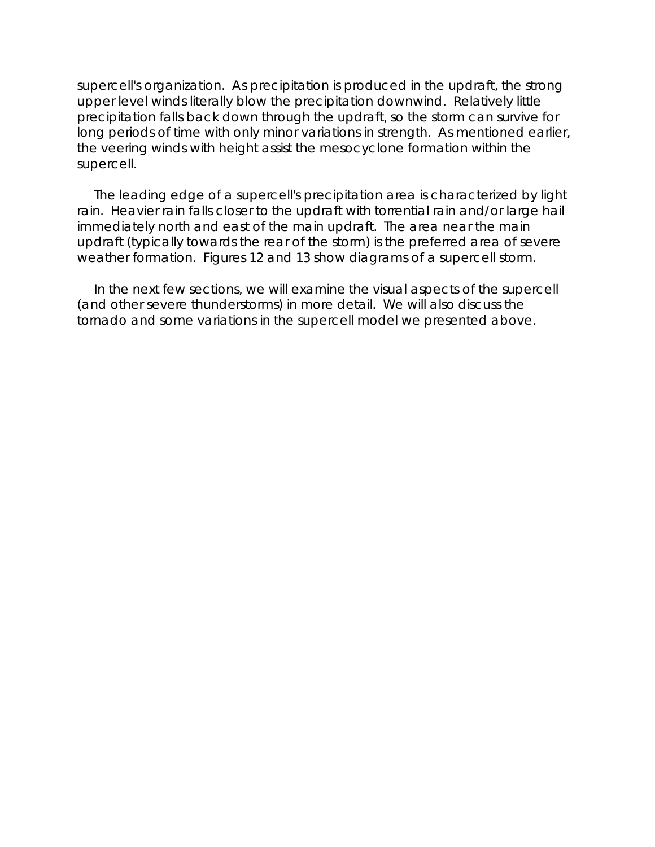supercell's organization. As precipitation is produced in the updraft, the strong upper level winds literally blow the precipitation downwind. Relatively little precipitation falls back down through the updraft, so the storm can survive for long periods of time with only minor variations in strength. As mentioned earlier, the veering winds with height assist the mesocyclone formation within the supercell.

The leading edge of a supercell's precipitation area is characterized by light rain. Heavier rain falls closer to the updraft with torrential rain and/or large hail immediately north and east of the main updraft. The area near the main updraft (typically towards the rear of the storm) is the preferred area of severe weather formation. Figures 12 and 13 show diagrams of a supercell storm.

In the next few sections, we will examine the visual aspects of the supercell (and other severe thunderstorms) in more detail. We will also discuss the tornado and some variations in the supercell model we presented above.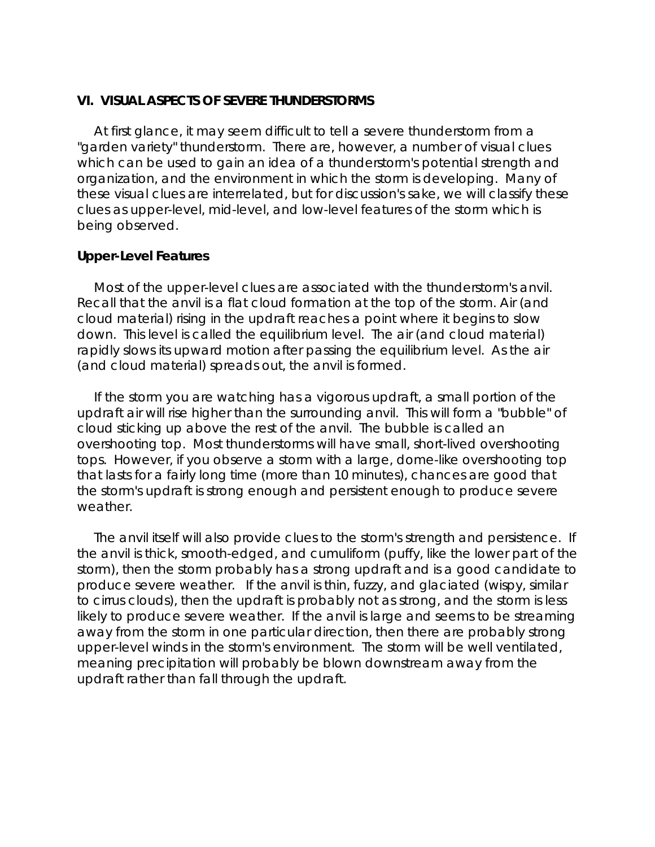#### **VI. VISUAL ASPECTS OF SEVERE THUNDERSTORMS**

At first glance, it may seem difficult to tell a severe thunderstorm from a "garden variety" thunderstorm. There are, however, a number of visual clues which can be used to gain an idea of a thunderstorm's potential strength and organization, and the environment in which the storm is developing. Many of these visual clues are interrelated, but for discussion's sake, we will classify these clues as upper-level, mid-level, and low-level features of the storm which is being observed.

### **Upper-Level Features**

Most of the upper-level clues are associated with the thunderstorm's anvil. Recall that the anvil is a flat cloud formation at the top of the storm. Air (and cloud material) rising in the updraft reaches a point where it begins to slow down. This level is called the equilibrium level. The air (and cloud material) rapidly slows its upward motion after passing the equilibrium level. As the air (and cloud material) spreads out, the anvil is formed.

If the storm you are watching has a vigorous updraft, a small portion of the updraft air will rise higher than the surrounding anvil. This will form a "bubble" of cloud sticking up above the rest of the anvil. The bubble is called an overshooting top. Most thunderstorms will have small, short-lived overshooting tops. However, if you observe a storm with a large, dome-like overshooting top that lasts for a fairly long time (more than 10 minutes), chances are good that the storm's updraft is strong enough and persistent enough to produce severe weather.

The anvil itself will also provide clues to the storm's strength and persistence. If the anvil is thick, smooth-edged, and cumuliform (puffy, like the lower part of the storm), then the storm probably has a strong updraft and is a good candidate to produce severe weather. If the anvil is thin, fuzzy, and glaciated (wispy, similar to cirrus clouds), then the updraft is probably not as strong, and the storm is less likely to produce severe weather. If the anvil is large and seems to be streaming away from the storm in one particular direction, then there are probably strong upper-level winds in the storm's environment. The storm will be well ventilated, meaning precipitation will probably be blown downstream away from the updraft rather than fall through the updraft.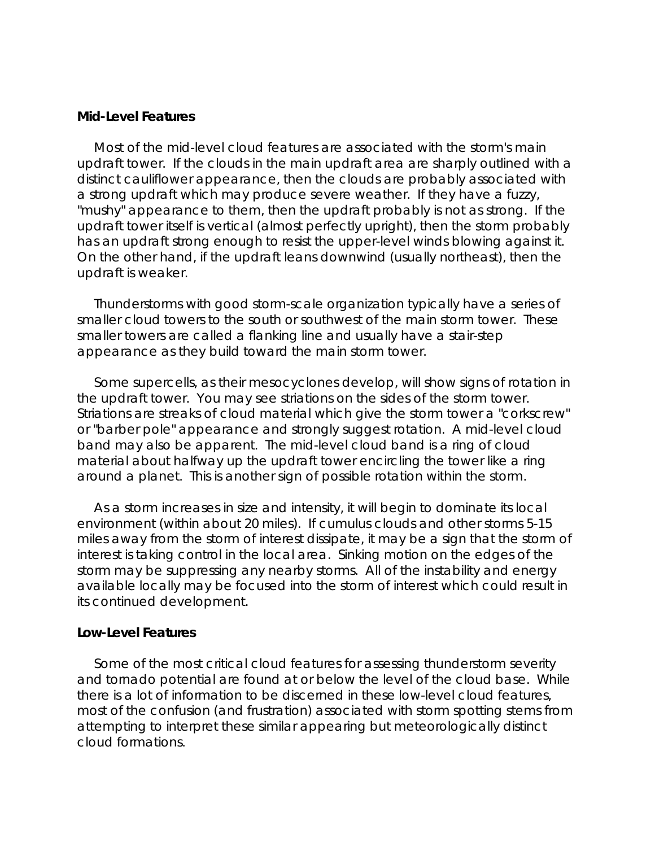#### **Mid-Level Features**

Most of the mid-level cloud features are associated with the storm's main updraft tower. If the clouds in the main updraft area are sharply outlined with a distinct cauliflower appearance, then the clouds are probably associated with a strong updraft which may produce severe weather. If they have a fuzzy, "mushy" appearance to them, then the updraft probably is not as strong. If the updraft tower itself is vertical (almost perfectly upright), then the storm probably has an updraft strong enough to resist the upper-level winds blowing against it. On the other hand, if the updraft leans downwind (usually northeast), then the updraft is weaker.

Thunderstorms with good storm-scale organization typically have a series of smaller cloud towers to the south or southwest of the main storm tower. These smaller towers are called a flanking line and usually have a stair-step appearance as they build toward the main storm tower.

Some supercells, as their mesocyclones develop, will show signs of rotation in the updraft tower. You may see striations on the sides of the storm tower. Striations are streaks of cloud material which give the storm tower a "corkscrew" or "barber pole" appearance and strongly suggest rotation. A mid-level cloud band may also be apparent. The mid-level cloud band is a ring of cloud material about halfway up the updraft tower encircling the tower like a ring around a planet. This is another sign of possible rotation within the storm.

As a storm increases in size and intensity, it will begin to dominate its local environment (within about 20 miles). If cumulus clouds and other storms 5-15 miles away from the storm of interest dissipate, it may be a sign that the storm of interest is taking control in the local area. Sinking motion on the edges of the storm may be suppressing any nearby storms. All of the instability and energy available locally may be focused into the storm of interest which could result in its continued development.

#### **Low-Level Features**

Some of the most critical cloud features for assessing thunderstorm severity and tornado potential are found at or below the level of the cloud base. While there is a lot of information to be discerned in these low-level cloud features, most of the confusion (and frustration) associated with storm spotting stems from attempting to interpret these similar appearing but meteorologically distinct cloud formations.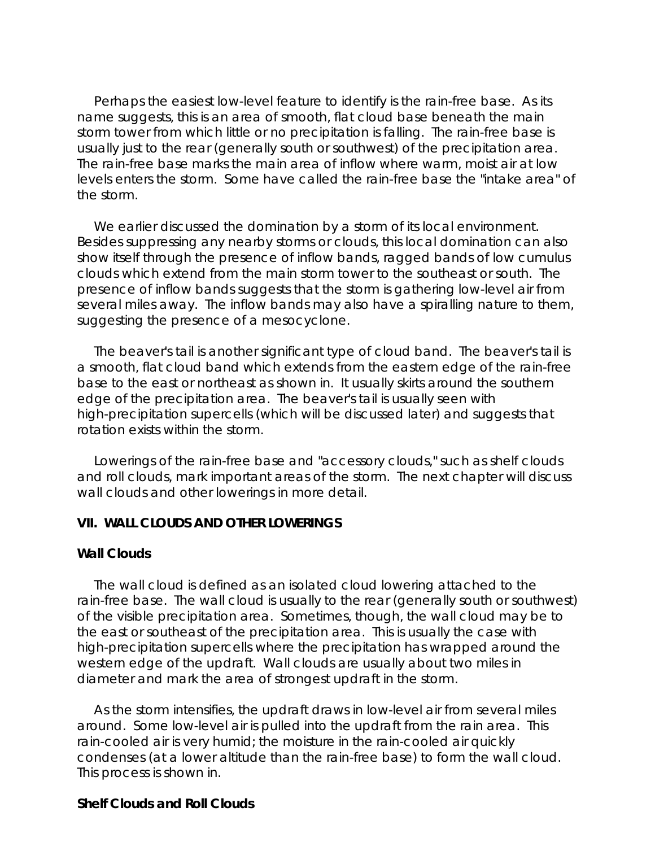Perhaps the easiest low-level feature to identify is the rain-free base. As its name suggests, this is an area of smooth, flat cloud base beneath the main storm tower from which little or no precipitation is falling. The rain-free base is usually just to the rear (generally south or southwest) of the precipitation area. The rain-free base marks the main area of inflow where warm, moist air at low levels enters the storm. Some have called the rain-free base the "intake area" of the storm.

We earlier discussed the domination by a storm of its local environment. Besides suppressing any nearby storms or clouds, this local domination can also show itself through the presence of inflow bands, ragged bands of low cumulus clouds which extend from the main storm tower to the southeast or south. The presence of inflow bands suggests that the storm is gathering low-level air from several miles away. The inflow bands may also have a spiralling nature to them, suggesting the presence of a mesocyclone.

The beaver's tail is another significant type of cloud band. The beaver's tail is a smooth, flat cloud band which extends from the eastern edge of the rain-free base to the east or northeast as shown in. It usually skirts around the southern edge of the precipitation area. The beaver's tail is usually seen with high-precipitation supercells (which will be discussed later) and suggests that rotation exists within the storm.

Lowerings of the rain-free base and "accessory clouds," such as shelf clouds and roll clouds, mark important areas of the storm. The next chapter will discuss wall clouds and other lowerings in more detail.

### **VII. WALL CLOUDS AND OTHER LOWERINGS**

# **Wall Clouds**

The wall cloud is defined as an isolated cloud lowering attached to the rain-free base. The wall cloud is usually to the rear (generally south or southwest) of the visible precipitation area. Sometimes, though, the wall cloud may be to the east or southeast of the precipitation area. This is usually the case with high-precipitation supercells where the precipitation has wrapped around the western edge of the updraft. Wall clouds are usually about two miles in diameter and mark the area of strongest updraft in the storm.

As the storm intensifies, the updraft draws in low-level air from several miles around. Some low-level air is pulled into the updraft from the rain area. This rain-cooled air is very humid; the moisture in the rain-cooled air quickly condenses (at a lower altitude than the rain-free base) to form the wall cloud. This process is shown in.

#### **Shelf Clouds and Roll Clouds**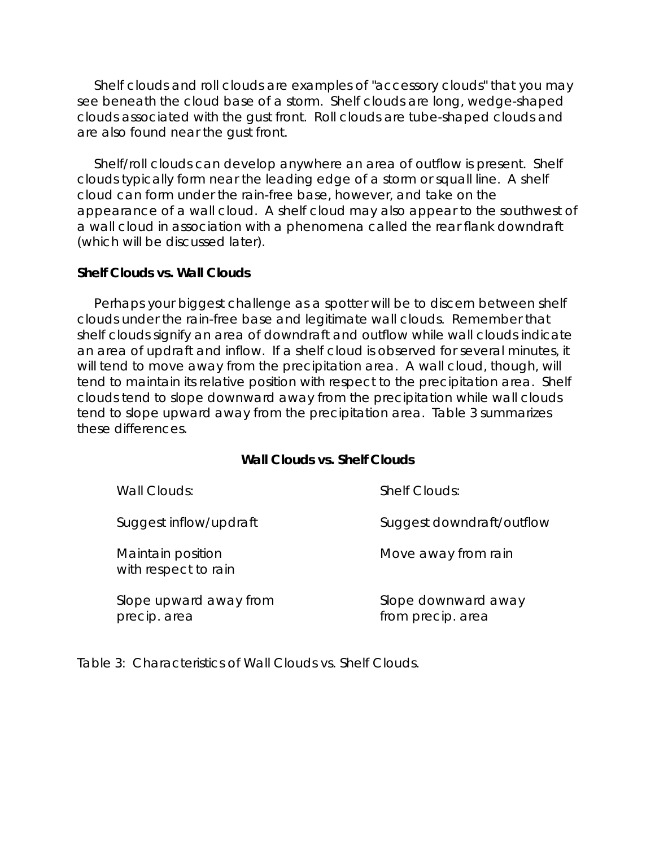Shelf clouds and roll clouds are examples of "accessory clouds" that you may see beneath the cloud base of a storm. Shelf clouds are long, wedge-shaped clouds associated with the gust front. Roll clouds are tube-shaped clouds and are also found near the gust front.

Shelf/roll clouds can develop anywhere an area of outflow is present. Shelf clouds typically form near the leading edge of a storm or squall line. A shelf cloud can form under the rain-free base, however, and take on the appearance of a wall cloud. A shelf cloud may also appear to the southwest of a wall cloud in association with a phenomena called the rear flank downdraft (which will be discussed later).

## **Shelf Clouds vs. Wall Clouds**

Perhaps your biggest challenge as a spotter will be to discern between shelf clouds under the rain-free base and legitimate wall clouds. Remember that shelf clouds signify an area of downdraft and outflow while wall clouds indicate an area of updraft and inflow. If a shelf cloud is observed for several minutes, it will tend to move away from the precipitation area. A wall cloud, though, will tend to maintain its relative position with respect to the precipitation area. Shelf clouds tend to slope downward away from the precipitation while wall clouds tend to slope upward away from the precipitation area. Table 3 summarizes these differences.

# **Wall Clouds vs. Shelf Clouds**

with respect to rain

Slope upward away from Slope downward away precip. area from precip. area

Wall Clouds: Shelf Clouds:

Suggest inflow/updraft Suggest downdraft/outflow

Maintain position Move away from rain

Table 3: Characteristics of Wall Clouds vs. Shelf Clouds.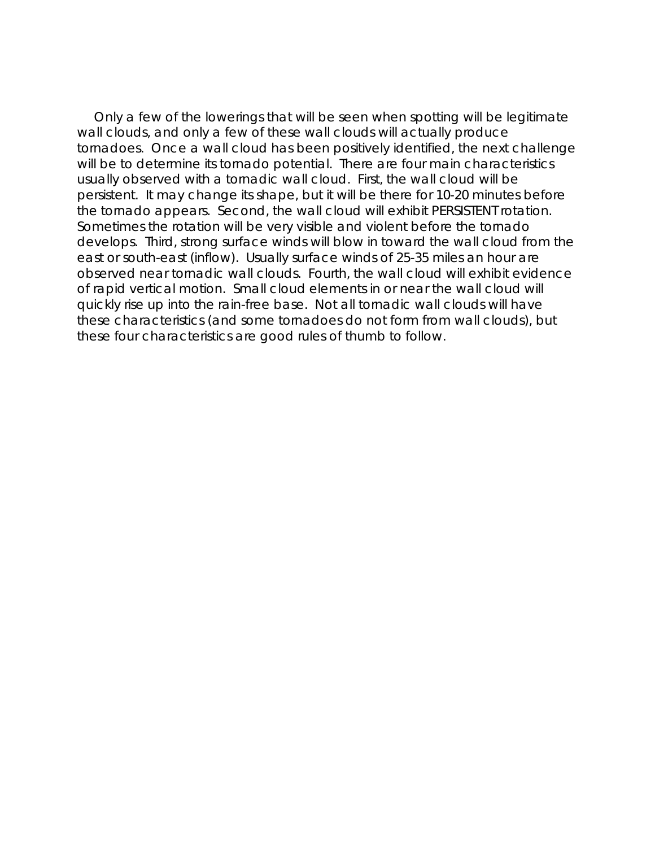Only a few of the lowerings that will be seen when spotting will be legitimate wall clouds, and only a few of these wall clouds will actually produce tornadoes. Once a wall cloud has been positively identified, the next challenge will be to determine its tornado potential. There are four main characteristics usually observed with a tornadic wall cloud. First, the wall cloud will be persistent. It may change its shape, but it will be there for 10-20 minutes before the tornado appears. Second, the wall cloud will exhibit PERSISTENT rotation. Sometimes the rotation will be very visible and violent before the tornado develops. Third, strong surface winds will blow in toward the wall cloud from the east or south-east (inflow). Usually surface winds of 25-35 miles an hour are observed near tornadic wall clouds. Fourth, the wall cloud will exhibit evidence of rapid vertical motion. Small cloud elements in or near the wall cloud will quickly rise up into the rain-free base. Not all tornadic wall clouds will have these characteristics (and some tornadoes do not form from wall clouds), but these four characteristics are good rules of thumb to follow.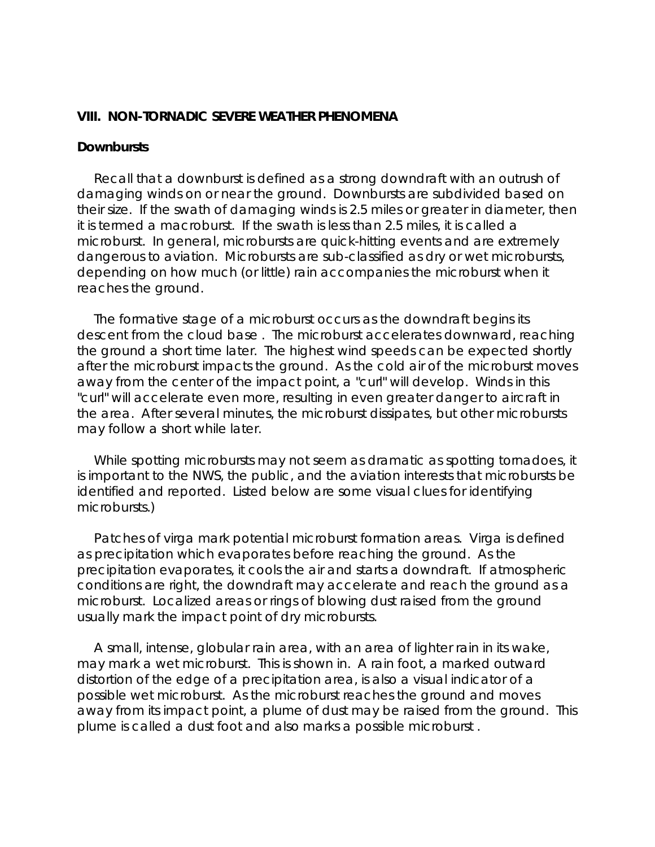## **VIII. NON-TORNADIC SEVERE WEATHER PHENOMENA**

#### **Downbursts**

Recall that a downburst is defined as a strong downdraft with an outrush of damaging winds on or near the ground. Downbursts are subdivided based on their size. If the swath of damaging winds is 2.5 miles or greater in diameter, then it is termed a macroburst. If the swath is less than 2.5 miles, it is called a microburst. In general, microbursts are quick-hitting events and are extremely dangerous to aviation. Microbursts are sub-classified as dry or wet microbursts, depending on how much (or little) rain accompanies the microburst when it reaches the ground.

The formative stage of a microburst occurs as the downdraft begins its descent from the cloud base . The microburst accelerates downward, reaching the ground a short time later. The highest wind speeds can be expected shortly after the microburst impacts the ground. As the cold air of the microburst moves away from the center of the impact point, a "curl" will develop. Winds in this "curl" will accelerate even more, resulting in even greater danger to aircraft in the area. After several minutes, the microburst dissipates, but other microbursts may follow a short while later.

While spotting microbursts may not seem as dramatic as spotting tornadoes, it is important to the NWS, the public, and the aviation interests that microbursts be identified and reported. Listed below are some visual clues for identifying microbursts.)

Patches of virga mark potential microburst formation areas. Virga is defined as precipitation which evaporates before reaching the ground. As the precipitation evaporates, it cools the air and starts a downdraft. If atmospheric conditions are right, the downdraft may accelerate and reach the ground as a microburst. Localized areas or rings of blowing dust raised from the ground usually mark the impact point of dry microbursts.

A small, intense, globular rain area, with an area of lighter rain in its wake, may mark a wet microburst. This is shown in. A rain foot, a marked outward distortion of the edge of a precipitation area, is also a visual indicator of a possible wet microburst. As the microburst reaches the ground and moves away from its impact point, a plume of dust may be raised from the ground. This plume is called a dust foot and also marks a possible microburst .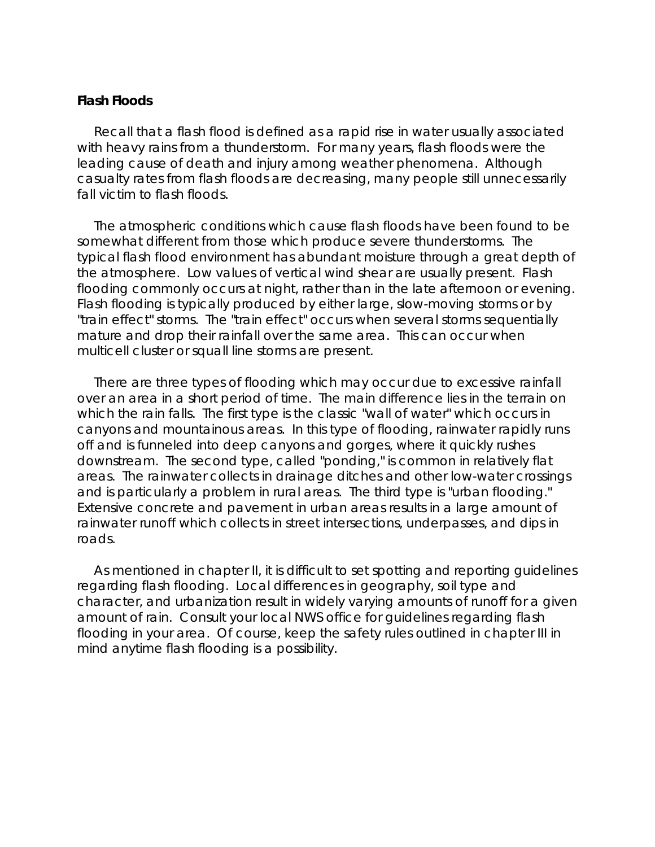### **Flash Floods**

Recall that a flash flood is defined as a rapid rise in water usually associated with heavy rains from a thunderstorm. For many years, flash floods were the leading cause of death and injury among weather phenomena. Although casualty rates from flash floods are decreasing, many people still unnecessarily fall victim to flash floods.

The atmospheric conditions which cause flash floods have been found to be somewhat different from those which produce severe thunderstorms. The typical flash flood environment has abundant moisture through a great depth of the atmosphere. Low values of vertical wind shear are usually present. Flash flooding commonly occurs at night, rather than in the late afternoon or evening. Flash flooding is typically produced by either large, slow-moving storms or by "train effect" storms. The "train effect" occurs when several storms sequentially mature and drop their rainfall over the same area. This can occur when multicell cluster or squall line storms are present.

There are three types of flooding which may occur due to excessive rainfall over an area in a short period of time. The main difference lies in the terrain on which the rain falls. The first type is the classic "wall of water" which occurs in canyons and mountainous areas. In this type of flooding, rainwater rapidly runs off and is funneled into deep canyons and gorges, where it quickly rushes downstream. The second type, called "ponding," is common in relatively flat areas. The rainwater collects in drainage ditches and other low-water crossings and is particularly a problem in rural areas. The third type is "urban flooding." Extensive concrete and pavement in urban areas results in a large amount of rainwater runoff which collects in street intersections, underpasses, and dips in roads.

As mentioned in chapter II, it is difficult to set spotting and reporting guidelines regarding flash flooding. Local differences in geography, soil type and character, and urbanization result in widely varying amounts of runoff for a given amount of rain. Consult your local NWS office for guidelines regarding flash flooding in your area. Of course, keep the safety rules outlined in chapter III in mind anytime flash flooding is a possibility.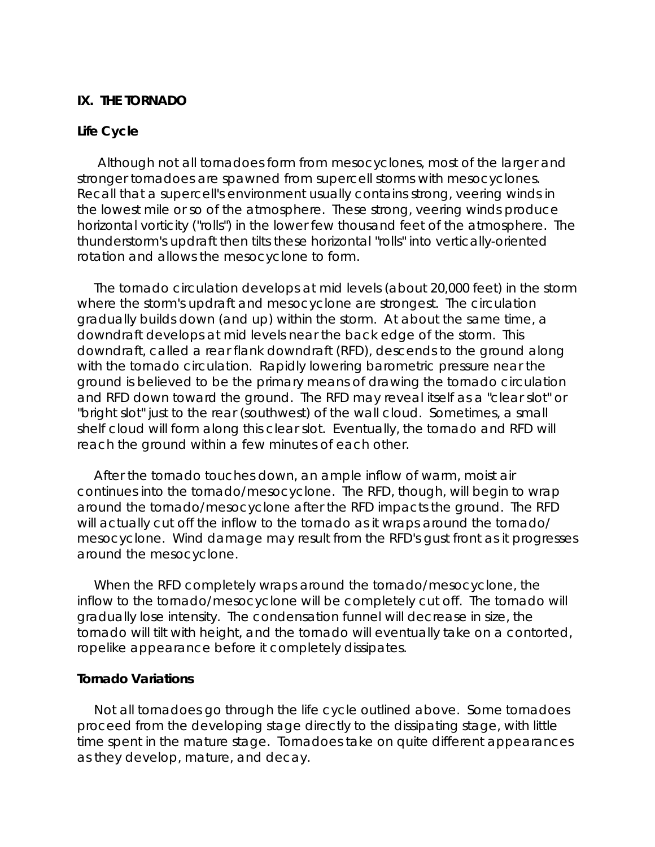### **IX. THE TORNADO**

# **Life Cycle**

 Although not all tornadoes form from mesocyclones, most of the larger and stronger tornadoes are spawned from supercell storms with mesocyclones. Recall that a supercell's environment usually contains strong, veering winds in the lowest mile or so of the atmosphere. These strong, veering winds produce horizontal vorticity ("rolls") in the lower few thousand feet of the atmosphere. The thunderstorm's updraft then tilts these horizontal "rolls" into vertically-oriented rotation and allows the mesocyclone to form.

The tornado circulation develops at mid levels (about 20,000 feet) in the storm where the storm's updraft and mesocyclone are strongest. The circulation gradually builds down (and up) within the storm. At about the same time, a downdraft develops at mid levels near the back edge of the storm. This downdraft, called a rear flank downdraft (RFD), descends to the ground along with the tornado circulation. Rapidly lowering barometric pressure near the ground is believed to be the primary means of drawing the tornado circulation and RFD down toward the ground. The RFD may reveal itself as a "clear slot" or "bright slot" just to the rear (southwest) of the wall cloud. Sometimes, a small shelf cloud will form along this clear slot. Eventually, the tornado and RFD will reach the ground within a few minutes of each other.

After the tornado touches down, an ample inflow of warm, moist air continues into the tornado/mesocyclone. The RFD, though, will begin to wrap around the tornado/mesocyclone after the RFD impacts the ground. The RFD will actually cut off the inflow to the tornado as it wraps around the tornado/ mesocyclone. Wind damage may result from the RFD's gust front as it progresses around the mesocyclone.

When the RFD completely wraps around the tornado/mesocyclone, the inflow to the tornado/mesocyclone will be completely cut off. The tornado will gradually lose intensity. The condensation funnel will decrease in size, the tornado will tilt with height, and the tornado will eventually take on a contorted, ropelike appearance before it completely dissipates.

#### **Tornado Variations**

Not all tornadoes go through the life cycle outlined above. Some tornadoes proceed from the developing stage directly to the dissipating stage, with little time spent in the mature stage. Tornadoes take on quite different appearances as they develop, mature, and decay.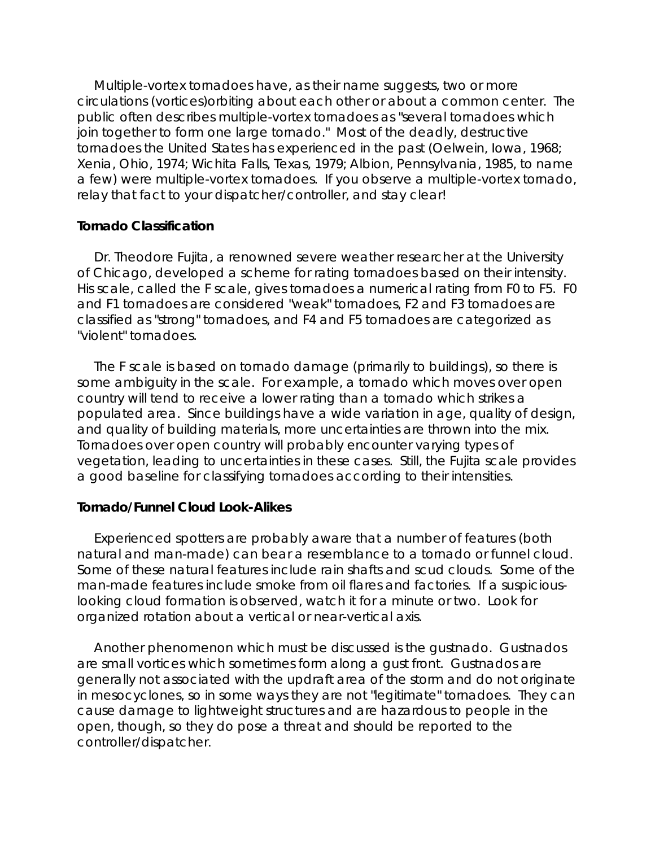Multiple-vortex tornadoes have, as their name suggests, two or more circulations (vortices)orbiting about each other or about a common center. The public often describes multiple-vortex tornadoes as "several tornadoes which join together to form one large tornado." Most of the deadly, destructive tornadoes the United States has experienced in the past (Oelwein, Iowa, 1968; Xenia, Ohio, 1974; Wichita Falls, Texas, 1979; Albion, Pennsylvania, 1985, to name a few) were multiple-vortex tornadoes. If you observe a multiple-vortex tornado, relay that fact to your dispatcher/controller, and stay clear!

### **Tornado Classification**

Dr. Theodore Fujita, a renowned severe weather researcher at the University of Chicago, developed a scheme for rating tornadoes based on their intensity. His scale, called the F scale, gives tornadoes a numerical rating from F0 to F5. F0 and F1 tornadoes are considered "weak" tornadoes, F2 and F3 tornadoes are classified as "strong" tornadoes, and F4 and F5 tornadoes are categorized as "violent" tornadoes.

The F scale is based on tornado damage (primarily to buildings), so there is some ambiguity in the scale. For example, a tornado which moves over open country will tend to receive a lower rating than a tornado which strikes a populated area. Since buildings have a wide variation in age, quality of design, and quality of building materials, more uncertainties are thrown into the mix. Tornadoes over open country will probably encounter varying types of vegetation, leading to uncertainties in these cases. Still, the Fujita scale provides a good baseline for classifying tornadoes according to their intensities.

#### **Tornado/Funnel Cloud Look-Alikes**

Experienced spotters are probably aware that a number of features (both natural and man-made) can bear a resemblance to a tornado or funnel cloud. Some of these natural features include rain shafts and scud clouds. Some of the man-made features include smoke from oil flares and factories. If a suspiciouslooking cloud formation is observed, watch it for a minute or two. Look for organized rotation about a vertical or near-vertical axis.

Another phenomenon which must be discussed is the gustnado. Gustnados are small vortices which sometimes form along a gust front. Gustnados are generally not associated with the updraft area of the storm and do not originate in mesocyclones, so in some ways they are not "legitimate" tornadoes. They can cause damage to lightweight structures and are hazardous to people in the open, though, so they do pose a threat and should be reported to the controller/dispatcher.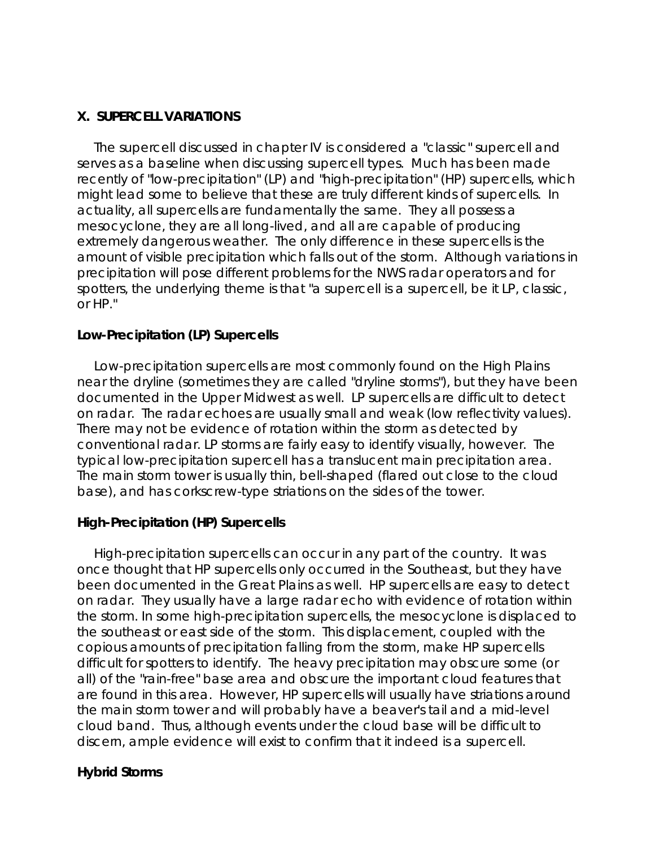# **X. SUPERCELL VARIATIONS**

The supercell discussed in chapter IV is considered a "classic" supercell and serves as a baseline when discussing supercell types. Much has been made recently of "low-precipitation" (LP) and "high-precipitation" (HP) supercells, which might lead some to believe that these are truly different kinds of supercells. In actuality, all supercells are fundamentally the same. They all possess a mesocyclone, they are all long-lived, and all are capable of producing extremely dangerous weather. The only difference in these supercells is the amount of visible precipitation which falls out of the storm. Although variations in precipitation will pose different problems for the NWS radar operators and for spotters, the underlying theme is that "a supercell is a supercell, be it LP, classic, or HP."

# **Low-Precipitation (LP) Supercells**

Low-precipitation supercells are most commonly found on the High Plains near the dryline (sometimes they are called "dryline storms"), but they have been documented in the Upper Midwest as well. LP supercells are difficult to detect on radar. The radar echoes are usually small and weak (low reflectivity values). There may not be evidence of rotation within the storm as detected by conventional radar. LP storms are fairly easy to identify visually, however. The typical low-precipitation supercell has a translucent main precipitation area. The main storm tower is usually thin, bell-shaped (flared out close to the cloud base), and has corkscrew-type striations on the sides of the tower.

# **High-Precipitation (HP) Supercells**

High-precipitation supercells can occur in any part of the country. It was once thought that HP supercells only occurred in the Southeast, but they have been documented in the Great Plains as well. HP supercells are easy to detect on radar. They usually have a large radar echo with evidence of rotation within the storm. In some high-precipitation supercells, the mesocyclone is displaced to the southeast or east side of the storm. This displacement, coupled with the copious amounts of precipitation falling from the storm, make HP supercells difficult for spotters to identify. The heavy precipitation may obscure some (or all) of the "rain-free" base area and obscure the important cloud features that are found in this area. However, HP supercells will usually have striations around the main storm tower and will probably have a beaver's tail and a mid-level cloud band. Thus, although events under the cloud base will be difficult to discern, ample evidence will exist to confirm that it indeed is a supercell.

# **Hybrid Storms**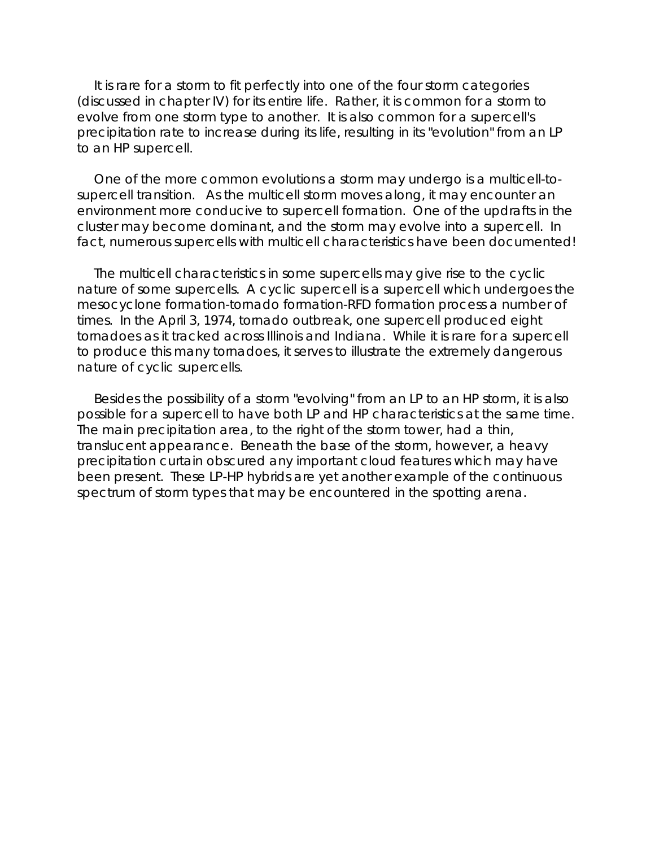It is rare for a storm to fit perfectly into one of the four storm categories (discussed in chapter IV) for its entire life. Rather, it is common for a storm to evolve from one storm type to another. It is also common for a supercell's precipitation rate to increase during its life, resulting in its "evolution" from an LP to an HP supercell.

One of the more common evolutions a storm may undergo is a multicell-tosupercell transition. As the multicell storm moves along, it may encounter an environment more conducive to supercell formation. One of the updrafts in the cluster may become dominant, and the storm may evolve into a supercell. In fact, numerous supercells with multicell characteristics have been documented!

The multicell characteristics in some supercells may give rise to the cyclic nature of some supercells. A cyclic supercell is a supercell which undergoes the mesocyclone formation-tornado formation-RFD formation process a number of times. In the April 3, 1974, tornado outbreak, one supercell produced eight tornadoes as it tracked across Illinois and Indiana. While it is rare for a supercell to produce this many tornadoes, it serves to illustrate the extremely dangerous nature of cyclic supercells.

Besides the possibility of a storm "evolving" from an LP to an HP storm, it is also possible for a supercell to have both LP and HP characteristics at the same time. The main precipitation area, to the right of the storm tower, had a thin, translucent appearance. Beneath the base of the storm, however, a heavy precipitation curtain obscured any important cloud features which may have been present. These LP-HP hybrids are yet another example of the continuous spectrum of storm types that may be encountered in the spotting arena.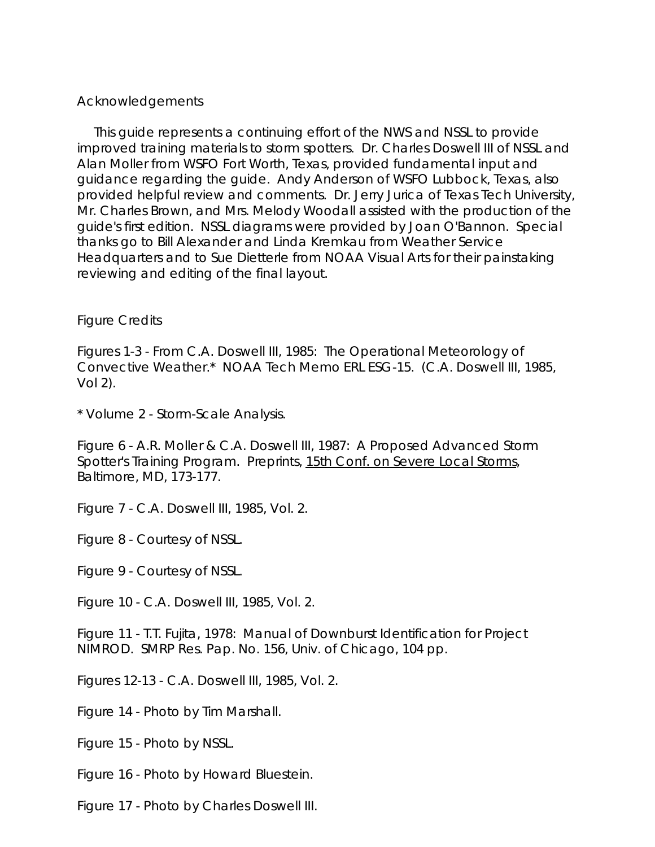# Acknowledgements

This guide represents a continuing effort of the NWS and NSSL to provide improved training materials to storm spotters. Dr. Charles Doswell III of NSSL and Alan Moller from WSFO Fort Worth, Texas, provided fundamental input and guidance regarding the guide. Andy Anderson of WSFO Lubbock, Texas, also provided helpful review and comments. Dr. Jerry Jurica of Texas Tech University, Mr. Charles Brown, and Mrs. Melody Woodall assisted with the production of the guide's first edition. NSSL diagrams were provided by Joan O'Bannon. Special thanks go to Bill Alexander and Linda Kremkau from Weather Service Headquarters and to Sue Dietterle from NOAA Visual Arts for their painstaking reviewing and editing of the final layout.

# Figure Credits

Figures 1-3 - From C.A. Doswell III, 1985: The Operational Meteorology of Convective Weather.\* NOAA Tech Memo ERL ESG-15. (C.A. Doswell III, 1985, Vol 2).

\* Volume 2 - Storm-Scale Analysis.

Figure 6 - A.R. Moller & C.A. Doswell III, 1987: A Proposed Advanced Storm Spotter's Training Program. Preprints, 15th Conf. on Severe Local Storms, Baltimore, MD, 173-177.

Figure 7 - C.A. Doswell III, 1985, Vol. 2.

Figure 8 - Courtesy of NSSL.

Figure 9 - Courtesy of NSSL.

Figure 10 - C.A. Doswell III, 1985, Vol. 2.

Figure 11 - T.T. Fujita, 1978: Manual of Downburst Identification for Project NIMROD. SMRP Res. Pap. No. 156, Univ. of Chicago, 104 pp.

Figures 12-13 - C.A. Doswell III, 1985, Vol. 2.

Figure 14 - Photo by Tim Marshall.

Figure 15 - Photo by NSSL.

Figure 16 - Photo by Howard Bluestein.

Figure 17 - Photo by Charles Doswell III.